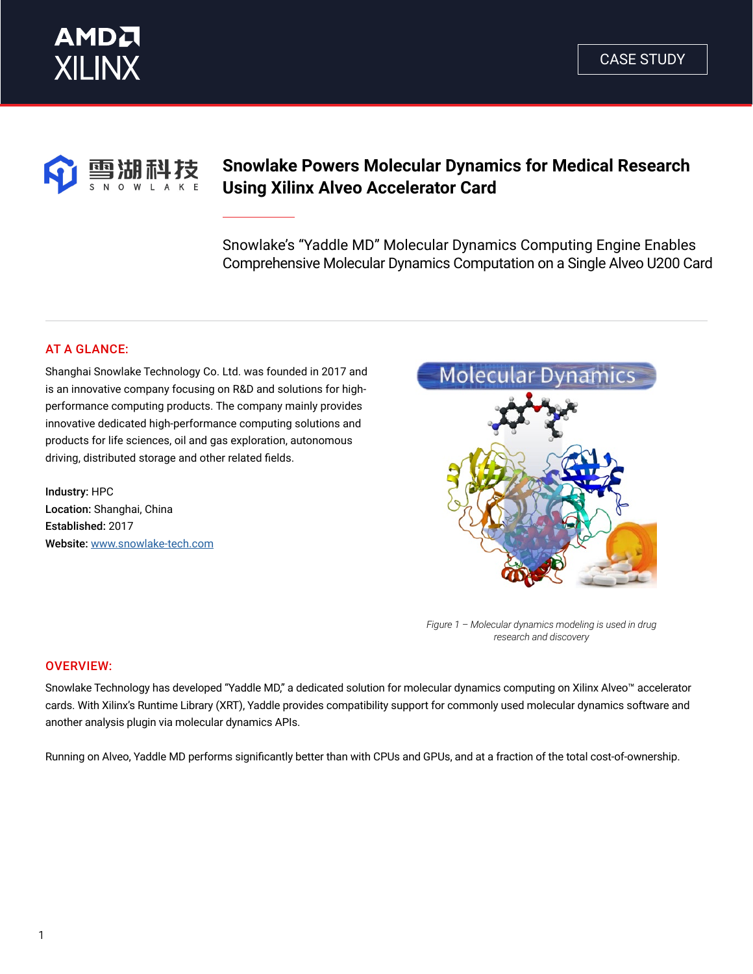



# **Snowlake Powers Molecular Dynamics for Medical Research Using Xilinx Alveo Accelerator Card**

Snowlake's "Yaddle MD" Molecular Dynamics Computing Engine Enables Comprehensive Molecular Dynamics Computation on a Single Alveo U200 Card

## AT A GLANCE:

Shanghai Snowlake Technology Co. Ltd. was founded in 2017 and is an innovative company focusing on R&D and solutions for highperformance computing products. The company mainly provides innovative dedicated high-performance computing solutions and products for life sciences, oil and gas exploration, autonomous driving, distributed storage and other related fields.

Industry: HPC Location: Shanghai, China Established: 2017 Website: [www.snowlake-tech.com](http://www.snowlake-tech.com/)



*Figure 1 – Molecular dynamics modeling is used in drug research and discovery* 

### OVERVIEW:

Snowlake Technology has developed "Yaddle MD," a dedicated solution for molecular dynamics computing on Xilinx Alveo™ accelerator cards. With Xilinx's Runtime Library (XRT), Yaddle provides compatibility support for commonly used molecular dynamics software and another analysis plugin via molecular dynamics APIs.

Running on Alveo, Yaddle MD performs significantly better than with CPUs and GPUs, and at a fraction of the total cost-of-ownership.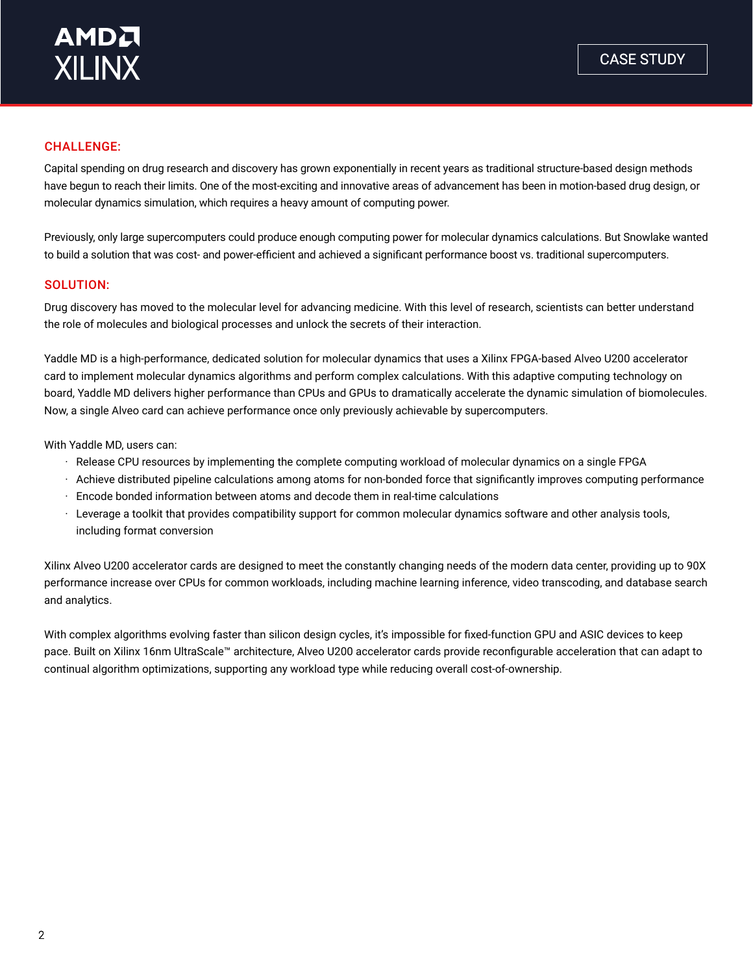## CHALLENGE:

Capital spending on drug research and discovery has grown exponentially in recent years as traditional structure-based design methods have begun to reach their limits. One of the most-exciting and innovative areas of advancement has been in motion-based drug design, or molecular dynamics simulation, which requires a heavy amount of computing power.

Previously, only large supercomputers could produce enough computing power for molecular dynamics calculations. But Snowlake wanted to build a solution that was cost- and power-efficient and achieved a significant performance boost vs. traditional supercomputers.

#### SOLUTION:

Drug discovery has moved to the molecular level for advancing medicine. With this level of research, scientists can better understand the role of molecules and biological processes and unlock the secrets of their interaction.

Yaddle MD is a high-performance, dedicated solution for molecular dynamics that uses a Xilinx FPGA-based Alveo U200 accelerator card to implement molecular dynamics algorithms and perform complex calculations. With this adaptive computing technology on board, Yaddle MD delivers higher performance than CPUs and GPUs to dramatically accelerate the dynamic simulation of biomolecules. Now, a single Alveo card can achieve performance once only previously achievable by supercomputers.

With Yaddle MD, users can:

- · Release CPU resources by implementing the complete computing workload of molecular dynamics on a single FPGA
- · Achieve distributed pipeline calculations among atoms for non-bonded force that significantly improves computing performance
- · Encode bonded information between atoms and decode them in real-time calculations
- · Leverage a toolkit that provides compatibility support for common molecular dynamics software and other analysis tools, including format conversion

Xilinx Alveo U200 accelerator cards are designed to meet the constantly changing needs of the modern data center, providing up to 90X performance increase over CPUs for common workloads, including machine learning inference, video transcoding, and database search and analytics.

With complex algorithms evolving faster than silicon design cycles, it's impossible for fixed-function GPU and ASIC devices to keep pace. Built on Xilinx 16nm UltraScale™ architecture, Alveo U200 accelerator cards provide reconfigurable acceleration that can adapt to continual algorithm optimizations, supporting any workload type while reducing overall cost-of-ownership.